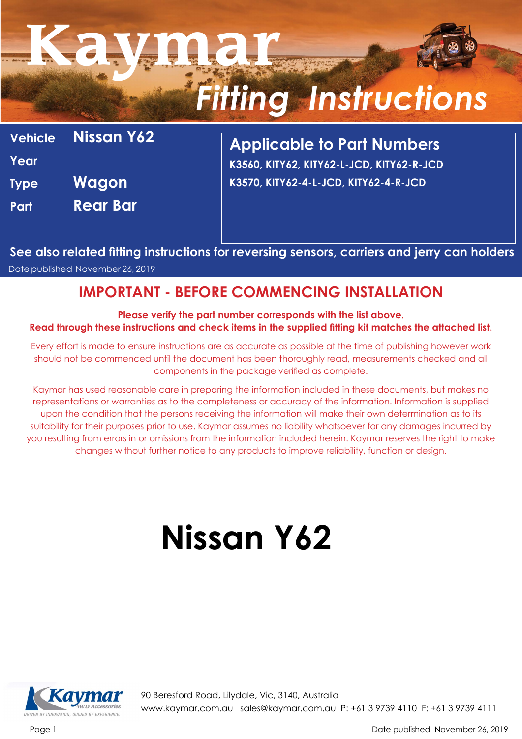| Vehicle Nissan Y62 |
|--------------------|
|                    |
|                    |
|                    |
|                    |

**Applicable to Part Numbers K3560, KITY62, KITY62-L-JCD, KITY62-R-JCD K3570, KITY62-4-L-JCD, KITY62-4-R-JCD**

**See also related fitting instructions for reversing sensors, carriers and jerry can holders** Date published November 26, 2019

#### **IMPORTANT - BEFORE COMMENCING INSTALLATION**

#### **Please verify the part number corresponds with the list above. Read through these instructions and check items in the supplied fitting kit matches the attached list.**

Every effort is made to ensure instructions are as accurate as possible at the time of publishing however work should not be commenced until the document has been thoroughly read, measurements checked and all components in the package verified as complete.

Kaymar has used reasonable care in preparing the information included in these documents, but makes no representations or warranties as to the completeness or accuracy of the information. Information is supplied upon the condition that the persons receiving the information will make their own determination as to its suitability for their purposes prior to use. Kaymar assumes no liability whatsoever for any damages incurred by you resulting from errors in or omissions from the information included herein. Kaymar reserves the right to make changes without further notice to any products to improve reliability, function or design.

#### **Nissan Y62**



90 Beresford Road, Lilydale, Vic, 3140, Australia www.kaymar.com.au sales@kaymar.com.au P: +61 3 9739 4110 F: +61 3 9739 4111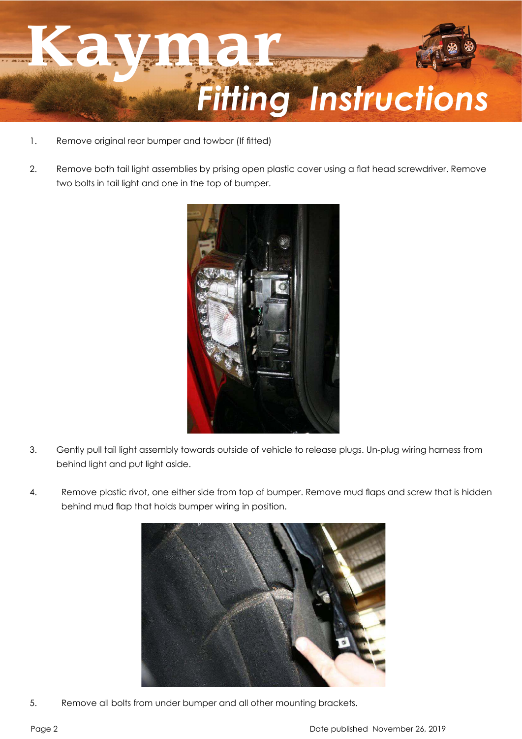- 1. Remove original rear bumper and towbar (If fitted)
- 2. Remove both tail light assemblies by prising open plastic cover using a flat head screwdriver. Remove two bolts in tail light and one in the top of bumper.



- 3. Gently pull tail light assembly towards outside of vehicle to release plugs. Un-plug wiring harness from behind light and put light aside.
- 4. Remove plastic rivot, one either side from top of bumper. Remove mud flaps and screw that is hidden behind mud flap that holds bumper wiring in position.



5. Remove all bolts from under bumper and all other mounting brackets.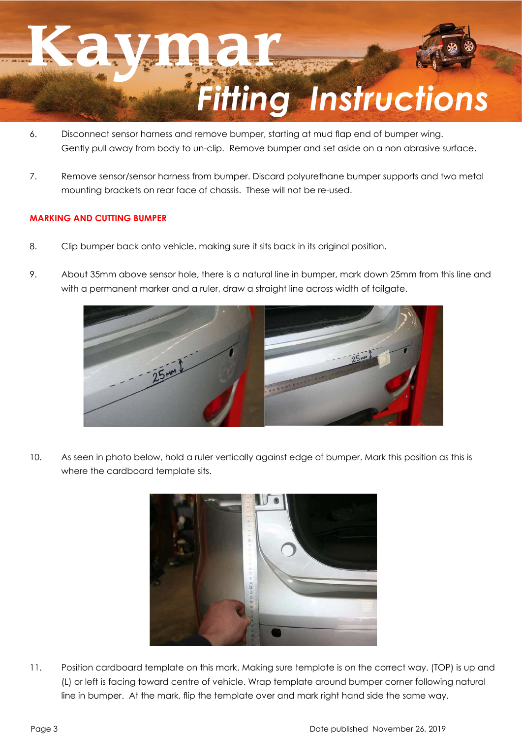- 6. Disconnect sensor harness and remove bumper, starting at mud flap end of bumper wing. Gently pull away from body to un-clip. Remove bumper and set aside on a non abrasive surface.
- 7. Remove sensor/sensor harness from bumper. Discard polyurethane bumper supports and two metal mounting brackets on rear face of chassis. These will not be re-used.

#### **MARKING AND CUTTING BUMPER**

- 8. Clip bumper back onto vehicle, making sure it sits back in its original position.
- 9. About 35mm above sensor hole, there is a natural line in bumper, mark down 25mm from this line and with a permanent marker and a ruler, draw a straight line across width of tailgate.



10. As seen in photo below, hold a ruler vertically against edge of bumper. Mark this position as this is where the cardboard template sits.



11. Position cardboard template on this mark. Making sure template is on the correct way. (TOP) is up and (L) or left is facing toward centre of vehicle. Wrap template around bumper corner following natural line in bumper. At the mark, flip the template over and mark right hand side the same way.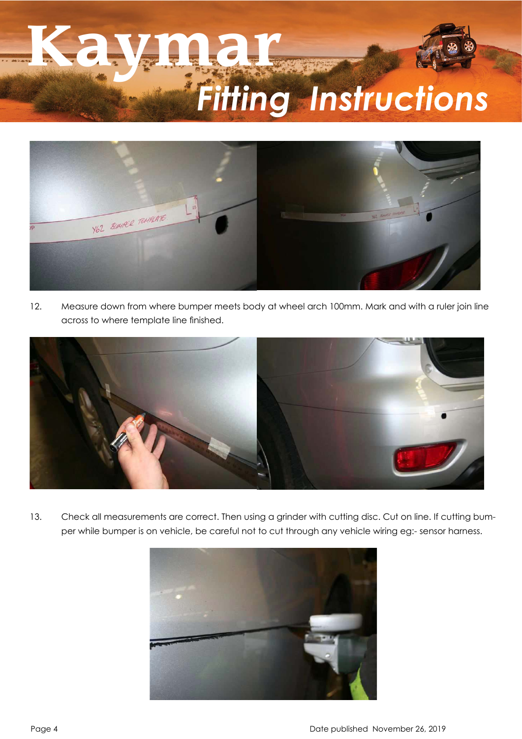

12. Measure down from where bumper meets body at wheel arch 100mm. Mark and with a ruler join line across to where template line finished.



13. Check all measurements are correct. Then using a grinder with cutting disc. Cut on line. If cutting bumper while bumper is on vehicle, be careful not to cut through any vehicle wiring eg:- sensor harness.

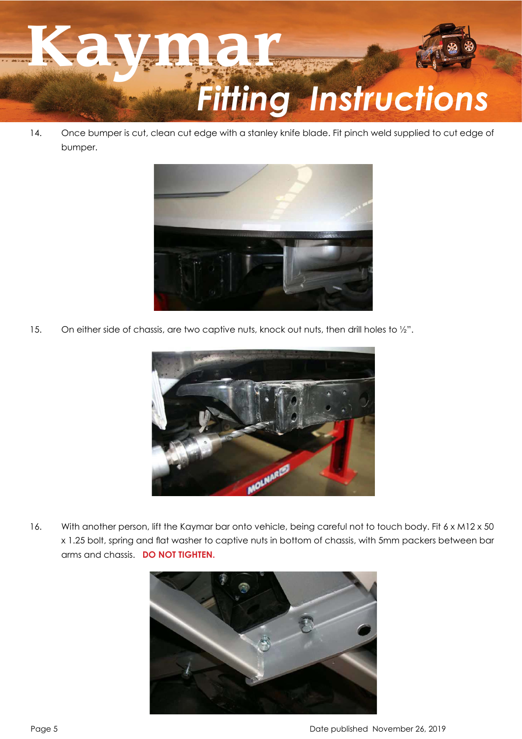

14. Once bumper is cut, clean cut edge with a stanley knife blade. Fit pinch weld supplied to cut edge of bumper.



15. On either side of chassis, are two captive nuts, knock out nuts, then drill holes to 1/2".



16. With another person, lift the Kaymar bar onto vehicle, being careful not to touch body. Fit 6 x M12 x 50 x 1.25 bolt, spring and flat washer to captive nuts in bottom of chassis, with 5mm packers between bar arms and chassis. **DO NOT TIGHTEN.**

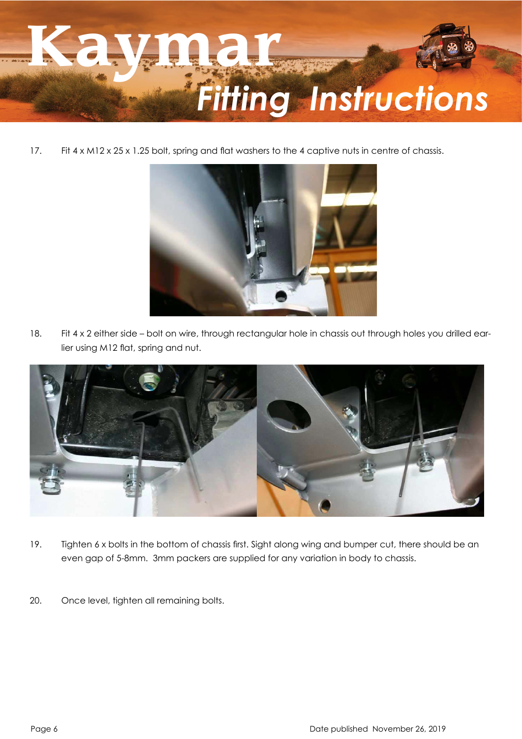17. Fit 4 x M12 x 25 x 1.25 bolt, spring and flat washers to the 4 captive nuts in centre of chassis.



18. Fit 4 x 2 either side – bolt on wire, through rectangular hole in chassis out through holes you drilled earlier using M12 flat, spring and nut.



- 19. Tighten 6 x bolts in the bottom of chassis first. Sight along wing and bumper cut, there should be an even gap of 5-8mm. 3mm packers are supplied for any variation in body to chassis.
- 20. Once level, tighten all remaining bolts.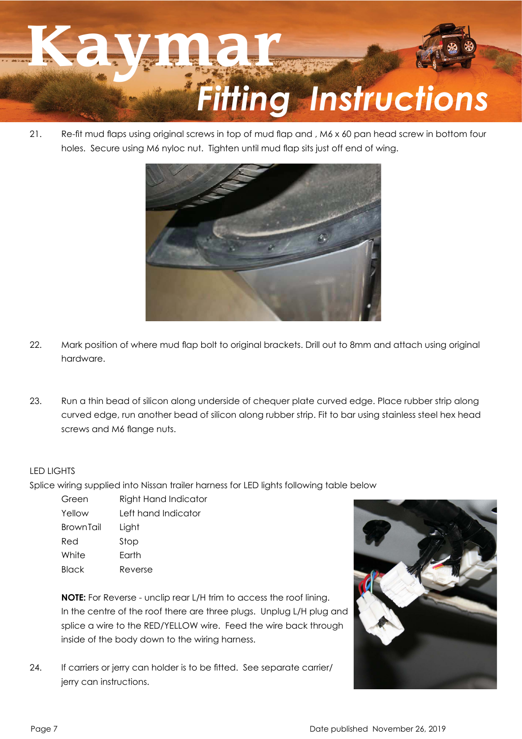21. Re-fit mud flaps using original screws in top of mud flap and, M6 x 60 pan head screw in bottom four holes. Secure using M6 nyloc nut. Tighten until mud flap sits just off end of wing.



- 22. Mark position of where mud flap bolt to original brackets. Drill out to 8mm and attach using original hardware.
- 23. Run a thin bead of silicon along underside of chequer plate curved edge. Place rubber strip along curved edge, run another bead of silicon along rubber strip. Fit to bar using stainless steel hex head screws and M6 flange nuts.

#### LED LIGHTS

Splice wiring supplied into Nissan trailer harness for LED lights following table below

| Green            | Right Hand Indicator |
|------------------|----------------------|
| Yellow           | Left hand Indicator  |
| <b>BrownTail</b> | Light                |
| Red              | Stop                 |
| White            | Earth                |
| Black            | Reverse              |

**NOTE:** For Reverse - unclip rear L/H trim to access the roof lining. In the centre of the roof there are three plugs. Unplug L/H plug and splice a wire to the RED/YELLOW wire. Feed the wire back through inside of the body down to the wiring harness.

24. If carriers or jerry can holder is to be fitted. See separate carrier/ jerry can instructions.

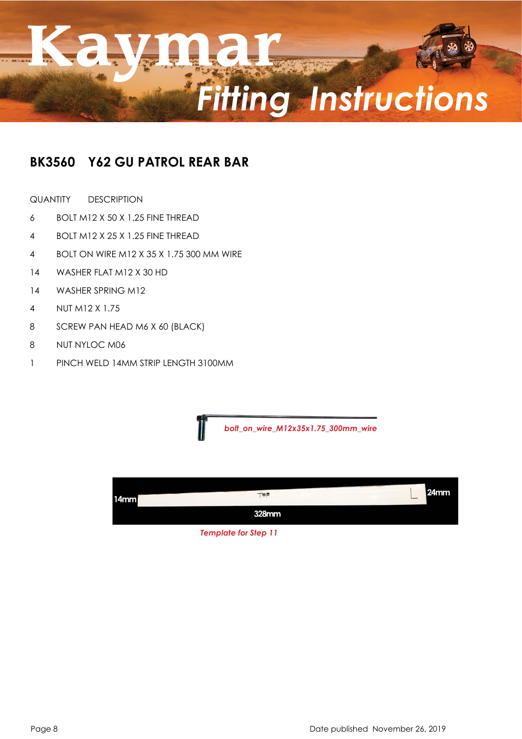#### **BK3560 Y62 GU PATROL REAR BAR**

QUANTITY DESCRIPTION 

- 6 BOLT M12 X 50 X 1.25 FINE THREAD
- 4 BOLT M12 X 25 X 1.25 FINE THREAD
- 4 BOLT ON WIRE M12 X 35 X 1.75 300 MM WIRE
- 14 WASHER FLAT M12 X 30 HD
- 14 WASHER SPRING M12
- 4 NUT M12 X 1.75
- 8 SCREW PAN HEAD M6 X 60 (BLACK)
- 8 NUT NYLOC M06
- 1 PINCH WELD 14MM STRIP LENGTH 3100MM

*bolt\_on\_wire\_M12x35x1.75\_300mm\_wire*



*Template for Step 11*